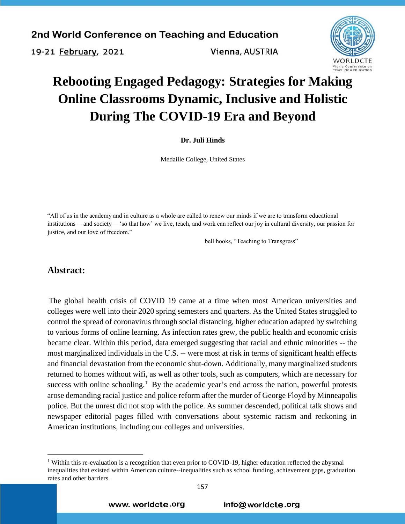19-21 February, 2021

Vienna, AUSTRIA



# **Rebooting Engaged Pedagogy: Strategies for Making Online Classrooms Dynamic, Inclusive and Holistic During The COVID-19 Era and Beyond**

**Dr. Juli Hinds**

Medaille College, United States

"All of us in the academy and in culture as a whole are called to renew our minds if we are to transform educational institutions —and society— 'so that how' we live, teach, and work can reflect our joy in cultural diversity, our passion for justice, and our love of freedom."

bell hooks, "Teaching to Transgress"

### **Abstract:**

 $\overline{a}$ 

The global health crisis of COVID 19 came at a time when most American universities and colleges were well into their 2020 spring semesters and quarters. As the United States struggled to control the spread of coronavirus through social distancing, higher education adapted by switching to various forms of online learning. As infection rates grew, the public health and economic crisis became clear. Within this period, data emerged suggesting that racial and ethnic minorities -- the most marginalized individuals in the U.S. -- were most at risk in terms of significant health effects and financial devastation from the economic shut-down. Additionally, many marginalized students returned to homes without wifi, as well as other tools, such as computers, which are necessary for success with online schooling.<sup>1</sup> By the academic year's end across the nation, powerful protests arose demanding racial justice and police reform after the murder of George Floyd by Minneapolis police. But the unrest did not stop with the police. As summer descended, political talk shows and newspaper editorial pages filled with conversations about systemic racism and reckoning in American institutions, including our colleges and universities.

<sup>&</sup>lt;sup>1</sup> Within this re-evaluation is a recognition that even prior to COVID-19, higher education reflected the abysmal inequalities that existed within American culture--inequalities such as school funding, achievement gaps, graduation rates and other barriers.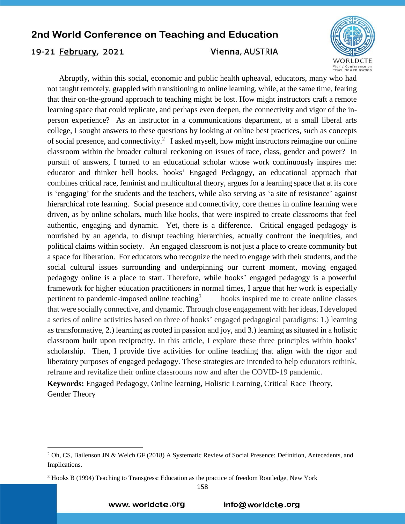### 19-21 February, 2021

 $\overline{a}$ 

#### Vienna, AUSTRIA



 Abruptly, within this social, economic and public health upheaval, educators, many who had not taught remotely, grappled with transitioning to online learning, while, at the same time, fearing that their on-the-ground approach to teaching might be lost. How might instructors craft a remote learning space that could replicate, and perhaps even deepen, the connectivity and vigor of the inperson experience? As an instructor in a communications department, at a small liberal arts college, I sought answers to these questions by looking at online best practices, such as concepts of social presence, and connectivity.<sup>2</sup> I asked myself, how might instructors reimagine our online classroom within the broader cultural reckoning on issues of race, class, gender and power? In pursuit of answers, I turned to an educational scholar whose work continuously inspires me: educator and thinker bell hooks. hooks' Engaged Pedagogy, an educational approach that combines critical race, feminist and multicultural theory, argues for a learning space that at its core is 'engaging' for the students and the teachers, while also serving as 'a site of resistance' against hierarchical rote learning. Social presence and connectivity, core themes in online learning were driven, as by online scholars, much like hooks, that were inspired to create classrooms that feel authentic, engaging and dynamic. Yet, there is a difference. Critical engaged pedagogy is nourished by an agenda, to disrupt teaching hierarchies, actually confront the inequities, and political claims within society. An engaged classroom is not just a place to create community but a space for liberation. For educators who recognize the need to engage with their students, and the social cultural issues surrounding and underpinning our current moment, moving engaged pedagogy online is a place to start. Therefore, while hooks' engaged pedagogy is a powerful framework for higher education practitioners in normal times, I argue that her work is especially pertinent to pandemic-imposed online teaching<sup>3</sup> hooks inspired me to create online classes that were socially connective, and dynamic. Through close engagement with her ideas, I developed a series of online activities based on three of hooks' engaged pedagogical paradigms: 1.) learning as transformative, 2.) learning as rooted in passion and joy, and 3.) learning as situated in a holistic classroom built upon reciprocity. In this article, I explore these three principles within hooks' scholarship. Then, I provide five activities for online teaching that align with the rigor and liberatory purposes of engaged pedagogy. These strategies are intended to help educators rethink, reframe and revitalize their online classrooms now and after the COVID-19 pandemic.

**Keywords:** Engaged Pedagogy, Online learning, Holistic Learning, Critical Race Theory, Gender Theory

158

www. worldcte.org

<sup>2</sup> Oh, CS, Bailenson JN & Welch GF (2018) A Systematic Review of Social Presence: Definition, Antecedents, and Implications.

<sup>&</sup>lt;sup>3</sup> Hooks B (1994) Teaching to Transgress: Education as the practice of freedom Routledge, New York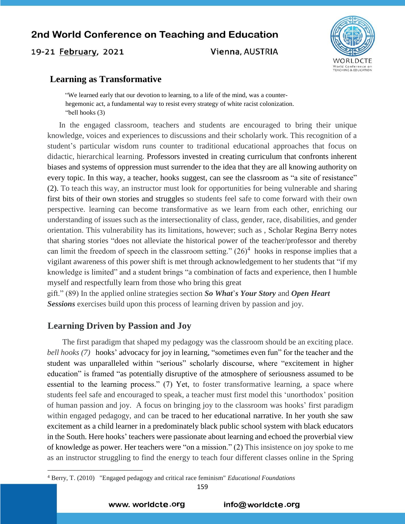19-21 February, 2021

Vienna, AUSTRIA



### **Learning as Transformative**

"We learned early that our devotion to learning, to a life of the mind, was a counterhegemonic act, a fundamental way to resist every strategy of white racist colonization. "bell hooks (3)

 In the engaged classroom, teachers and students are encouraged to bring their unique knowledge, voices and experiences to discussions and their scholarly work. This recognition of a student's particular wisdom runs counter to traditional educational approaches that focus on didactic, hierarchical learning. Professors invested in creating curriculum that confronts inherent biases and systems of oppression must surrender to the idea that they are all knowing authority on every topic. In this way, a teacher, hooks suggest, can see the classroom as "a site of resistance" (2). To teach this way, an instructor must look for opportunities for being vulnerable and sharing first bits of their own stories and struggles so students feel safe to come forward with their own perspective. learning can become transformative as we learn from each other, enriching our understanding of issues such as the intersectionality of class, gender, race, disabilities, and gender orientation. This vulnerability has its limitations, however; such as , Scholar Regina Berry notes that sharing stories "does not alleviate the historical power of the teacher/professor and thereby can limit the freedom of speech in the classroom setting."  $(26)^4$  hooks in response implies that a vigilant awareness of this power shift is met through acknowledgement to her students that "if my knowledge is limited" and a student brings "a combination of facts and experience, then I humble myself and respectfully learn from those who bring this great

gift." (89) In the applied online strategies section *So What*'*s Your Story* and *Open Heart Sessions* exercises build upon this process of learning driven by passion and joy.

### **Learning Driven by Passion and Joy**

 $\overline{a}$ 

The first paradigm that shaped my pedagogy was the classroom should be an exciting place. *bell hooks (7)* hooks' advocacy for joy in learning, "sometimes even fun" for the teacher and the student was unparalleled within "serious" scholarly discourse, where "excitement in higher education" is framed "as potentially disruptive of the atmosphere of seriousness assumed to be essential to the learning process." (7) Yet, to foster transformative learning, a space where students feel safe and encouraged to speak, a teacher must first model this 'unorthodox' position of human passion and joy. A focus on bringing joy to the classroom was hooks' first paradigm within engaged pedagogy, and can be traced to her educational narrative. In her youth she saw excitement as a child learner in a predominately black public school system with black educators in the South. Here hooks' teachers were passionate about learning and echoed the proverbial view of knowledge as power. Her teachers were "on a mission." (2) This insistence on joy spoke to me as an instructor struggling to find the energy to teach four different classes online in the Spring

159

<sup>4</sup> Berry, T. (2010) "Engaged pedagogy and critical race feminism" *Educational Foundations*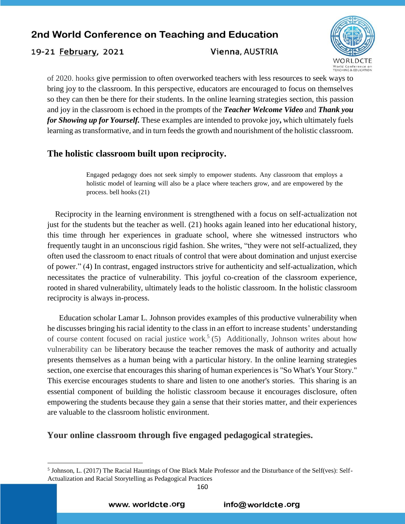19-21 February, 2021

#### Vienna, AUSTRIA



of 2020. hooks give permission to often overworked teachers with less resources to seek ways to bring joy to the classroom. In this perspective, educators are encouraged to focus on themselves so they can then be there for their students. In the online learning strategies section, this passion and joy in the classroom is echoed in the prompts of the *Teacher Welcome Video* and *Thank you for Showing up for Yourself.* These examples are intended to provoke joy**,** which ultimately fuels learning as transformative, and in turn feeds the growth and nourishment of the holistic classroom.

# **The holistic classroom built upon reciprocity.**

Engaged pedagogy does not seek simply to empower students. Any classroom that employs a holistic model of learning will also be a place where teachers grow, and are empowered by the process. bell hooks (21)

 Reciprocity in the learning environment is strengthened with a focus on self-actualization not just for the students but the teacher as well. (21) hooks again leaned into her educational history, this time through her experiences in graduate school, where she witnessed instructors who frequently taught in an unconscious rigid fashion. She writes, "they were not self-actualized, they often used the classroom to enact rituals of control that were about domination and unjust exercise of power." (4) In contrast, engaged instructors strive for authenticity and self-actualization, which necessitates the practice of vulnerability. This joyful co-creation of the classroom experience, rooted in shared vulnerability, ultimately leads to the holistic classroom. In the holistic classroom reciprocity is always in-process.

 Education scholar Lamar L. Johnson provides examples of this productive vulnerability when he discusses bringing his racial identity to the class in an effort to increase students' understanding of course content focused on racial justice work,<sup>5</sup> (5) Additionally, Johnson writes about how vulnerability can be liberatory because the teacher removes the mask of authority and actually presents themselves as a human being with a particular history. In the online learning strategies section, one exercise that encourages this sharing of human experiences is "So What's Your Story." This exercise encourages students to share and listen to one another's stories. This sharing is an essential component of building the holistic classroom because it encourages disclosure, often empowering the students because they gain a sense that their stories matter, and their experiences are valuable to the classroom holistic environment.

### **Your online classroom through five engaged pedagogical strategies.**

 $\overline{a}$ 

<sup>&</sup>lt;sup>5</sup> Johnson, L. (2017) The Racial Hauntings of One Black Male Professor and the Disturbance of the Self(ves): Self-Actualization and Racial Storytelling as Pedagogical Practices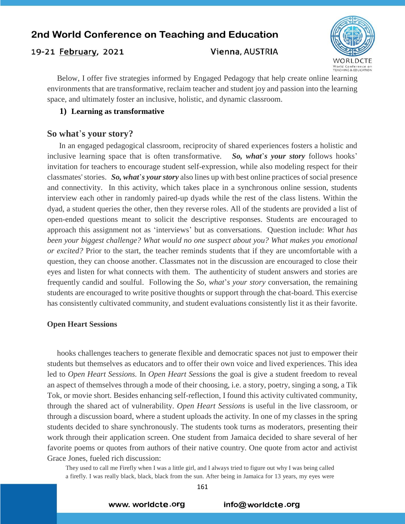### 19-21 February, 2021

#### Vienna, AUSTRIA



 Below, I offer five strategies informed by Engaged Pedagogy that help create online learning environments that are transformative, reclaim teacher and student joy and passion into the learning space, and ultimately foster an inclusive, holistic, and dynamic classroom.

#### **1) Learning as transformative**

#### **So what**'**s your story?**

 In an engaged pedagogical classroom, reciprocity of shared experiences fosters a holistic and inclusive learning space that is often transformative. *So, what*'*s your story* follows hooks' invitation for teachers to encourage student self-expression, while also modeling respect for their classmates' stories. *So, what*'*s your story* also lines up with best online practices of social presence and connectivity. In this activity, which takes place in a synchronous online session, students interview each other in randomly paired-up dyads while the rest of the class listens. Within the dyad, a student queries the other, then they reverse roles. All of the students are provided a list of open-ended questions meant to solicit the descriptive responses. Students are encouraged to approach this assignment not as 'interviews' but as conversations. Question include: *What has*  been your biggest challenge? What would no one suspect about you? What makes you emotional *or excited?* Prior to the start, the teacher reminds students that if they are uncomfortable with a question, they can choose another. Classmates not in the discussion are encouraged to close their eyes and listen for what connects with them. The authenticity of student answers and stories are frequently candid and soulful. Following the *So, what*'*s your story* conversation, the remaining students are encouraged to write positive thoughts or support through the chat-board. This exercise has consistently cultivated community, and student evaluations consistently list it as their favorite.

#### **Open Heart Sessions**

hooks challenges teachers to generate flexible and democratic spaces not just to empower their students but themselves as educators and to offer their own voice and lived experiences. This idea led to *Open Heart Sessions.* In *Open Heart Sessions* the goal is give a student freedom to reveal an aspect of themselves through a mode of their choosing, i.e. a story, poetry, singing a song, a Tik Tok, or movie short. Besides enhancing self-reflection, I found this activity cultivated community, through the shared act of vulnerability. *Open Heart Sessions* is useful in the live classroom, or through a discussion board, where a student uploads the activity. In one of my classes in the spring students decided to share synchronously. The students took turns as moderators, presenting their work through their application screen. One student from Jamaica decided to share several of her favorite poems or quotes from authors of their native country. One quote from actor and activist Grace Jones, fueled rich discussion:

They used to call me Firefly when I was a little girl, and I always tried to figure out why I was being called a firefly. I was really black, black, black from the sun. After being in Jamaica for 13 years, my eyes were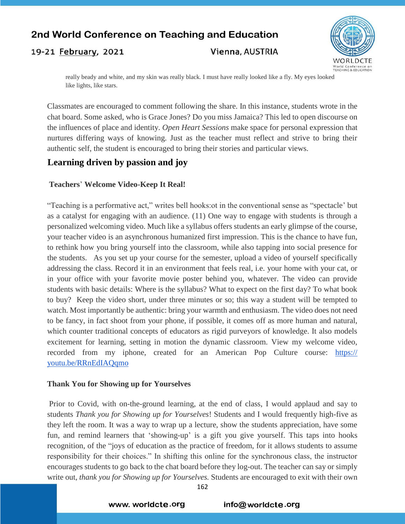#### 19-21 February, 2021

### Vienna, AUSTRIA



really beady and white, and my skin was really black. I must have really looked like a fly. My eyes looked like lights, like stars.

Classmates are encouraged to comment following the share. In this instance, students wrote in the chat board. Some asked, who is Grace Jones? Do you miss Jamaica? This led to open discourse on the influences of place and identity. *Open Heart Sessions* make space for personal expression that nurtures differing ways of knowing. Just as the teacher must reflect and strive to bring their authentic self, the student is encouraged to bring their stories and particular views.

### **Learning driven by passion and joy**

#### **Teachers**' **Welcome Video-Keep It Real!**

"Teaching is a performative act," writes bell hooks:ot in the conventional sense as "spectacle' but as a catalyst for engaging with an audience. (11) One way to engage with students is through a personalized welcoming video. Much like a syllabus offers students an early glimpse of the course, your teacher video is an asynchronous humanized first impression. This is the chance to have fun, to rethink how you bring yourself into the classroom, while also tapping into social presence for the students. As you set up your course for the semester, upload a video of yourself specifically addressing the class. Record it in an environment that feels real, i.e. your home with your cat, or in your office with your favorite movie poster behind you, whatever. The video can provide students with basic details: Where is the syllabus? What to expect on the first day? To what book to buy? Keep the video short, under three minutes or so; this way a student will be tempted to watch. Most importantly be authentic: bring your warmth and enthusiasm. The video does not need to be fancy, in fact shoot from your phone, if possible, it comes off as more human and natural, which counter traditional concepts of educators as rigid purveyors of knowledge. It also models excitement for learning, setting in motion the dynamic classroom. View my welcome video, recorded from my iphone, created for an American Pop Culture course: https:// youtu.be/RRnEdIAQqmo

#### **Thank You for Showing up for Yourselves**

Prior to Covid, with on-the-ground learning, at the end of class, I would applaud and say to students *Thank you for Showing up for Yourselves*! Students and I would frequently high-five as they left the room. It was a way to wrap up a lecture, show the students appreciation, have some fun, and remind learners that 'showing-up' is a gift you give yourself. This taps into hooks recognition, of the "joys of education as the practice of freedom, for it allows students to assume responsibility for their choices." In shifting this online for the synchronous class, the instructor encourages students to go back to the chat board before they log-out. The teacher can say or simply write out, *thank you for Showing up for Yourselves.* Students are encouraged to exit with their own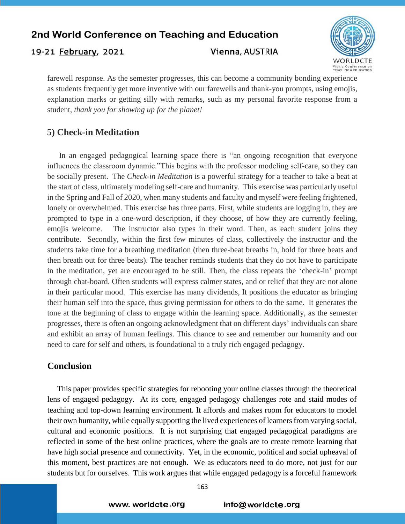19-21 February, 2021

Vienna, AUSTRIA



farewell response. As the semester progresses, this can become a community bonding experience as students frequently get more inventive with our farewells and thank-you prompts, using emojis, explanation marks or getting silly with remarks, such as my personal favorite response from a student, *thank you for showing up for the planet!* 

# **5) Check-in Meditation**

In an engaged pedagogical learning space there is "an ongoing recognition that everyone influences the classroom dynamic."This begins with the professor modeling self-care, so they can be socially present. The *Check-in Meditation* is a powerful strategy for a teacher to take a beat at the start of class, ultimately modeling self-care and humanity. This exercise was particularly useful in the Spring and Fall of 2020, when many students and faculty and myself were feeling frightened, lonely or overwhelmed. This exercise has three parts. First, while students are logging in, they are prompted to type in a one-word description, if they choose, of how they are currently feeling, emojis welcome. The instructor also types in their word. Then, as each student joins they contribute. Secondly, within the first few minutes of class, collectively the instructor and the students take time for a breathing meditation (then three-beat breaths in, hold for three beats and then breath out for three beats). The teacher reminds students that they do not have to participate in the meditation, yet are encouraged to be still. Then, the class repeats the 'check-in' prompt through chat-board. Often students will express calmer states, and or relief that they are not alone in their particular mood. This exercise has many dividends, It positions the educator as bringing their human self into the space, thus giving permission for others to do the same. It generates the tone at the beginning of class to engage within the learning space. Additionally, as the semester progresses, there is often an ongoing acknowledgment that on different days' individuals can share and exhibit an array of human feelings. This chance to see and remember our humanity and our need to care for self and others, is foundational to a truly rich engaged pedagogy.

### **Conclusion**

 This paper provides specific strategies for rebooting your online classes through the theoretical lens of engaged pedagogy. At its core, engaged pedagogy challenges rote and staid modes of teaching and top-down learning environment. It affords and makes room for educators to model their own humanity, while equally supporting the lived experiences of learners from varying social, cultural and economic positions. It is not surprising that engaged pedagogical paradigms are reflected in some of the best online practices, where the goals are to create remote learning that have high social presence and connectivity. Yet, in the economic, political and social upheaval of this moment, best practices are not enough. We as educators need to do more, not just for our students but for ourselves. This work argues that while engaged pedagogy is a forceful framework

www.worldcte.org